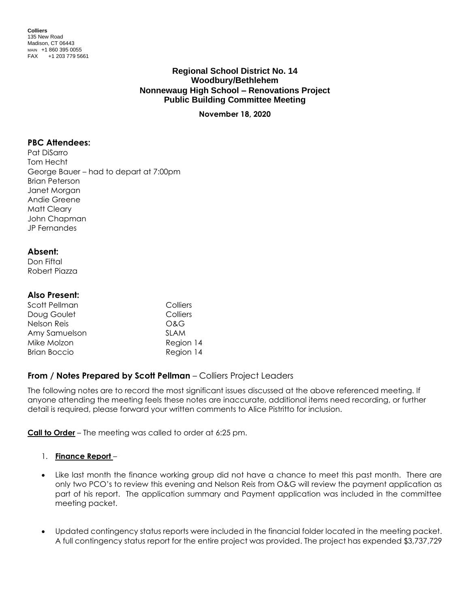**Colliers** 135 New Road Madison, CT 06443 MAIN +1 860 395 0055 FAX +1 203 779 5661

## **Regional School District No. 14 Woodbury/Bethlehem Nonnewaug High School – Renovations Project Public Building Committee Meeting**

**November 18, 2020**

### **PBC Attendees:**

Pat DiSarro Tom Hecht George Bauer – had to depart at 7:00pm Brian Peterson Janet Morgan Andie Greene Matt Cleary John Chapman JP Fernandes

#### **Absent:**

Don Fiftal Robert Piazza

### **Also Present:**

| Scott Pellman       | Colliers    |
|---------------------|-------------|
| Doug Goulet         | Colliers    |
| Nelson Reis         | O&G         |
| Amy Samuelson       | <b>SLAM</b> |
| Mike Molzon         | Region 14   |
| <b>Brian Boccio</b> | Region 14   |

# **From / Notes Prepared by Scott Pellman** – Colliers Project Leaders

The following notes are to record the most significant issues discussed at the above referenced meeting. If anyone attending the meeting feels these notes are inaccurate, additional items need recording, or further detail is required, please forward your written comments to Alice Pistritto for inclusion.

**Call to Order** – The meeting was called to order at 6:25 pm.

## 1. **Finance Report** –

- Like last month the finance working group did not have a chance to meet this past month. There are only two PCO's to review this evening and Nelson Reis from O&G will review the payment application as part of his report. The application summary and Payment application was included in the committee meeting packet.
- Updated contingency status reports were included in the financial folder located in the meeting packet. A full contingency status report for the entire project was provided. The project has expended \$3,737,729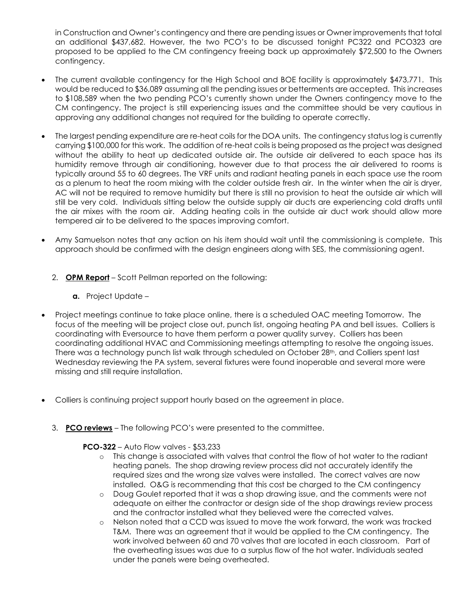in Construction and Owner's contingency and there are pending issues or Owner improvements that total an additional \$437,682. However, the two PCO's to be discussed tonight PC322 and PCO323 are proposed to be applied to the CM contingency freeing back up approximately \$72,500 to the Owners contingency.

- The current available contingency for the High School and BOE facility is approximately \$473,771. This would be reduced to \$36,089 assuming all the pending issues or betterments are accepted. This increases to \$108,589 when the two pending PCO's currently shown under the Owners contingency move to the CM contingency. The project is still experiencing issues and the committee should be very cautious in approving any additional changes not required for the building to operate correctly.
- The largest pending expenditure are re-heat coils for the DOA units. The contingency status log is currently carrying \$100,000 for this work. The addition of re-heat coils is being proposed as the project was designed without the ability to heat up dedicated outside air. The outside air delivered to each space has its humidity remove through air conditioning, however due to that process the air delivered to rooms is typically around 55 to 60 degrees. The VRF units and radiant heating panels in each space use the room as a plenum to heat the room mixing with the colder outside fresh air. In the winter when the air is dryer, AC will not be required to remove humidity but there is still no provision to heat the outside air which will still be very cold. Individuals sitting below the outside supply air ducts are experiencing cold drafts until the air mixes with the room air. Adding heating coils in the outside air duct work should allow more tempered air to be delivered to the spaces improving comfort.
- Amy Samuelson notes that any action on his item should wait until the commissioning is complete. This approach should be confirmed with the design engineers along with SES, the commissioning agent.
	- 2. **OPM Report** Scott Pellman reported on the following:
		- **a.** Project Update –
- Project meetings continue to take place online, there is a scheduled OAC meeting Tomorrow. The focus of the meeting will be project close out, punch list, ongoing heating PA and bell issues. Colliers is coordinating with Eversource to have them perform a power quality survey. Colliers has been coordinating additional HVAC and Commissioning meetings attempting to resolve the ongoing issues. There was a technology punch list walk through scheduled on October 28<sup>th</sup>, and Colliers spent last Wednesday reviewing the PA system, several fixtures were found inoperable and several more were missing and still require installation.
- Colliers is continuing project support hourly based on the agreement in place.
	- 3. **PCO reviews** The following PCO's were presented to the committee.

#### **PCO-322** – Auto Flow valves - \$53,233

- o This change is associated with valves that control the flow of hot water to the radiant heating panels. The shop drawing review process did not accurately identify the required sizes and the wrong size valves were installed. The correct valves are now installed. O&G is recommending that this cost be charged to the CM contingency
- o Doug Goulet reported that it was a shop drawing issue, and the comments were not adequate on either the contractor or design side of the shop drawings review process and the contractor installed what they believed were the corrected valves.
- o Nelson noted that a CCD was issued to move the work forward, the work was tracked T&M. There was an agreement that it would be applied to the CM contingency. The work involved between 60 and 70 valves that are located in each classroom. Part of the overheating issues was due to a surplus flow of the hot water. Individuals seated under the panels were being overheated.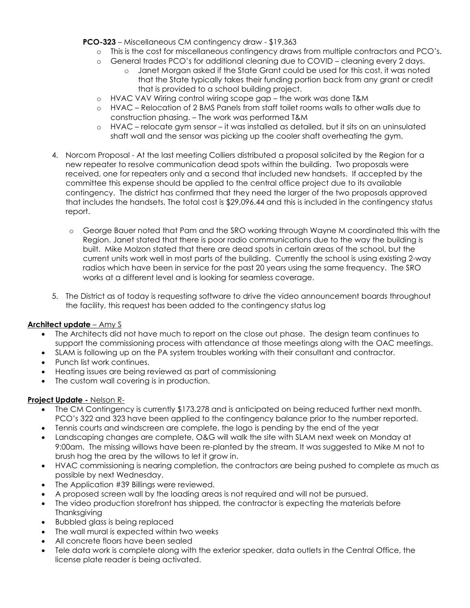**PCO-323** – Miscellaneous CM contingency draw - \$19,363

- o This is the cost for miscellaneous contingency draws from multiple contractors and PCO's.
- o General trades PCO's for additional cleaning due to COVID cleaning every 2 days.
	- o Janet Morgan asked if the State Grant could be used for this cost, it was noted that the State typically takes their funding portion back from any grant or credit that is provided to a school building project.
- o HVAC VAV Wiring control wiring scope gap the work was done T&M
- o HVAC Relocation of 2 BMS Panels from staff toilet rooms walls to other walls due to construction phasing. – The work was performed T&M
- o HVAC relocate gym sensor it was installed as detailed, but it sits on an uninsulated shaft wall and the sensor was picking up the cooler shaft overheating the gym.
- 4. Norcom Proposal At the last meeting Colliers distributed a proposal solicited by the Region for a new repeater to resolve communication dead spots within the building. Two proposals were received, one for repeaters only and a second that included new handsets. If accepted by the committee this expense should be applied to the central office project due to its available contingency. The district has confirmed that they need the larger of the two proposals approved that includes the handsets. The total cost is \$29,096.44 and this is included in the contingency status report.
	- o George Bauer noted that Pam and the SRO working through Wayne M coordinated this with the Region. Janet stated that there is poor radio communications due to the way the building is built. Mike Molzon stated that there are dead spots in certain areas of the school, but the current units work well in most parts of the building. Currently the school is using existing 2-way radios which have been in service for the past 20 years using the same frequency. The SRO works at a different level and is looking for seamless coverage.
- 5. The District as of today is requesting software to drive the video announcement boards throughout the facility, this request has been added to the contingency status log

## **Architect update** – Amy S

- The Architects did not have much to report on the close out phase. The design team continues to support the commissioning process with attendance at those meetings along with the OAC meetings.
- SLAM is following up on the PA system troubles working with their consultant and contractor.
- Punch list work continues.
- Heating issues are being reviewed as part of commissioning
- The custom wall covering is in production.

#### **Project Update -** Nelson R-

- The CM Contingency is currently \$173,278 and is anticipated on being reduced further next month. PCO's 322 and 323 have been applied to the contingency balance prior to the number reported.
- Tennis courts and windscreen are complete, the logo is pending by the end of the year
- Landscaping changes are complete, O&G will walk the site with SLAM next week on Monday at 9:00am. The missing willows have been re-planted by the stream. It was suggested to Mike M not to brush hog the area by the willows to let it grow in.
- HVAC commissioning is nearing completion, the contractors are being pushed to complete as much as possible by next Wednesday.
- The Application #39 Billings were reviewed.
- A proposed screen wall by the loading areas is not required and will not be pursued.
- The video production storefront has shipped, the contractor is expecting the materials before **Thanksgiving**
- Bubbled glass is being replaced
- The wall mural is expected within two weeks
- All concrete floors have been sealed
- Tele data work is complete along with the exterior speaker, data outlets in the Central Office, the license plate reader is being activated.